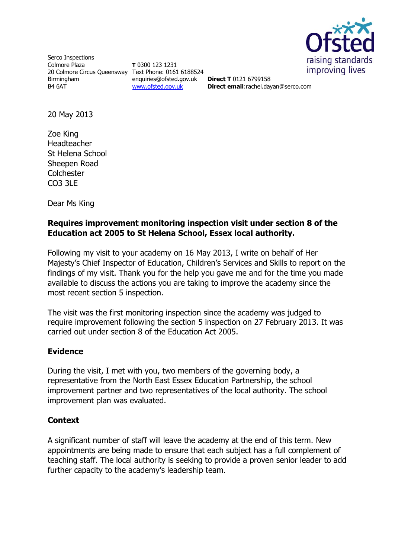

Serco Inspections Colmore Plaza 20 Colmore Circus Queensway Text Phone: 0161 6188524 Birmingham B4 6AT

**T** 0300 123 1231 enquiries@ofsted.gov.uk [www.ofsted.gov.uk](http://www.ofsted.gov.uk/)

**Direct T** 0121 6799158 **Direct email**:rachel.dayan@serco.com

20 May 2013

Zoe King Headteacher St Helena School Sheepen Road **Colchester** CO3 3LE

Dear Ms King

## **Requires improvement monitoring inspection visit under section 8 of the Education act 2005 to St Helena School, Essex local authority.**

Following my visit to your academy on 16 May 2013, I write on behalf of Her Majesty's Chief Inspector of Education, Children's Services and Skills to report on the findings of my visit. Thank you for the help you gave me and for the time you made available to discuss the actions you are taking to improve the academy since the most recent section 5 inspection.

The visit was the first monitoring inspection since the academy was judged to require improvement following the section 5 inspection on 27 February 2013. It was carried out under section 8 of the Education Act 2005.

# **Evidence**

During the visit, I met with you, two members of the governing body, a representative from the North East Essex Education Partnership, the school improvement partner and two representatives of the local authority. The school improvement plan was evaluated.

# **Context**

A significant number of staff will leave the academy at the end of this term. New appointments are being made to ensure that each subject has a full complement of teaching staff. The local authority is seeking to provide a proven senior leader to add further capacity to the academy's leadership team.